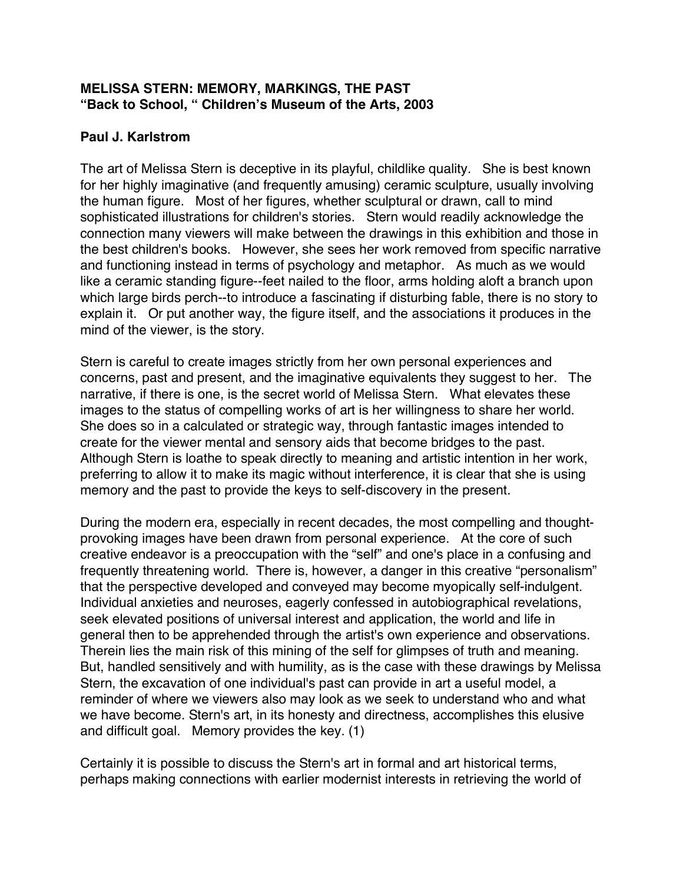## **MELISSA STERN: MEMORY, MARKINGS, THE PAST "Back to School, " Children's Museum of the Arts, 2003**

## **Paul J. Karlstrom**

The art of Melissa Stern is deceptive in its playful, childlike quality. She is best known for her highly imaginative (and frequently amusing) ceramic sculpture, usually involving the human figure. Most of her figures, whether sculptural or drawn, call to mind sophisticated illustrations for children's stories. Stern would readily acknowledge the connection many viewers will make between the drawings in this exhibition and those in the best children's books. However, she sees her work removed from specific narrative and functioning instead in terms of psychology and metaphor. As much as we would like a ceramic standing figure--feet nailed to the floor, arms holding aloft a branch upon which large birds perch--to introduce a fascinating if disturbing fable, there is no story to explain it. Or put another way, the figure itself, and the associations it produces in the mind of the viewer, is the story.

Stern is careful to create images strictly from her own personal experiences and concerns, past and present, and the imaginative equivalents they suggest to her. The narrative, if there is one, is the secret world of Melissa Stern. What elevates these images to the status of compelling works of art is her willingness to share her world. She does so in a calculated or strategic way, through fantastic images intended to create for the viewer mental and sensory aids that become bridges to the past. Although Stern is loathe to speak directly to meaning and artistic intention in her work, preferring to allow it to make its magic without interference, it is clear that she is using memory and the past to provide the keys to self-discovery in the present.

During the modern era, especially in recent decades, the most compelling and thoughtprovoking images have been drawn from personal experience. At the core of such creative endeavor is a preoccupation with the "self" and one's place in a confusing and frequently threatening world. There is, however, a danger in this creative "personalism" that the perspective developed and conveyed may become myopically self-indulgent. Individual anxieties and neuroses, eagerly confessed in autobiographical revelations, seek elevated positions of universal interest and application, the world and life in general then to be apprehended through the artist's own experience and observations. Therein lies the main risk of this mining of the self for glimpses of truth and meaning. But, handled sensitively and with humility, as is the case with these drawings by Melissa Stern, the excavation of one individual's past can provide in art a useful model, a reminder of where we viewers also may look as we seek to understand who and what we have become. Stern's art, in its honesty and directness, accomplishes this elusive and difficult goal. Memory provides the key. (1)

Certainly it is possible to discuss the Stern's art in formal and art historical terms, perhaps making connections with earlier modernist interests in retrieving the world of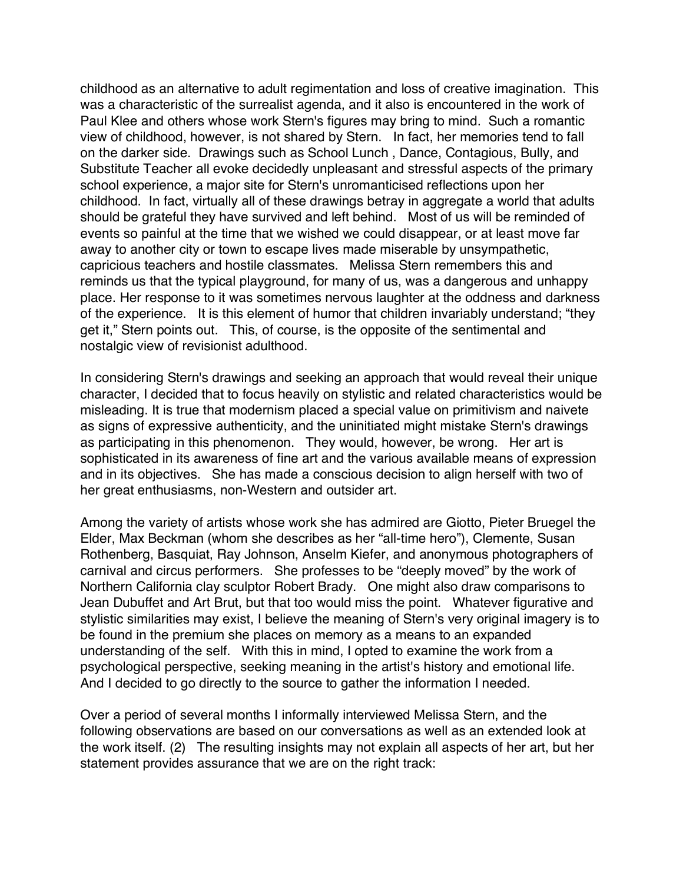childhood as an alternative to adult regimentation and loss of creative imagination. This was a characteristic of the surrealist agenda, and it also is encountered in the work of Paul Klee and others whose work Stern's figures may bring to mind. Such a romantic view of childhood, however, is not shared by Stern. In fact, her memories tend to fall on the darker side. Drawings such as School Lunch , Dance, Contagious, Bully, and Substitute Teacher all evoke decidedly unpleasant and stressful aspects of the primary school experience, a major site for Stern's unromanticised reflections upon her childhood. In fact, virtually all of these drawings betray in aggregate a world that adults should be grateful they have survived and left behind. Most of us will be reminded of events so painful at the time that we wished we could disappear, or at least move far away to another city or town to escape lives made miserable by unsympathetic, capricious teachers and hostile classmates. Melissa Stern remembers this and reminds us that the typical playground, for many of us, was a dangerous and unhappy place. Her response to it was sometimes nervous laughter at the oddness and darkness of the experience. It is this element of humor that children invariably understand; "they get it," Stern points out. This, of course, is the opposite of the sentimental and nostalgic view of revisionist adulthood.

In considering Stern's drawings and seeking an approach that would reveal their unique character, I decided that to focus heavily on stylistic and related characteristics would be misleading. It is true that modernism placed a special value on primitivism and naivete as signs of expressive authenticity, and the uninitiated might mistake Stern's drawings as participating in this phenomenon. They would, however, be wrong. Her art is sophisticated in its awareness of fine art and the various available means of expression and in its objectives. She has made a conscious decision to align herself with two of her great enthusiasms, non-Western and outsider art.

Among the variety of artists whose work she has admired are Giotto, Pieter Bruegel the Elder, Max Beckman (whom she describes as her "all-time hero"), Clemente, Susan Rothenberg, Basquiat, Ray Johnson, Anselm Kiefer, and anonymous photographers of carnival and circus performers. She professes to be "deeply moved" by the work of Northern California clay sculptor Robert Brady. One might also draw comparisons to Jean Dubuffet and Art Brut, but that too would miss the point. Whatever figurative and stylistic similarities may exist, I believe the meaning of Stern's very original imagery is to be found in the premium she places on memory as a means to an expanded understanding of the self. With this in mind, I opted to examine the work from a psychological perspective, seeking meaning in the artist's history and emotional life. And I decided to go directly to the source to gather the information I needed.

Over a period of several months I informally interviewed Melissa Stern, and the following observations are based on our conversations as well as an extended look at the work itself. (2) The resulting insights may not explain all aspects of her art, but her statement provides assurance that we are on the right track: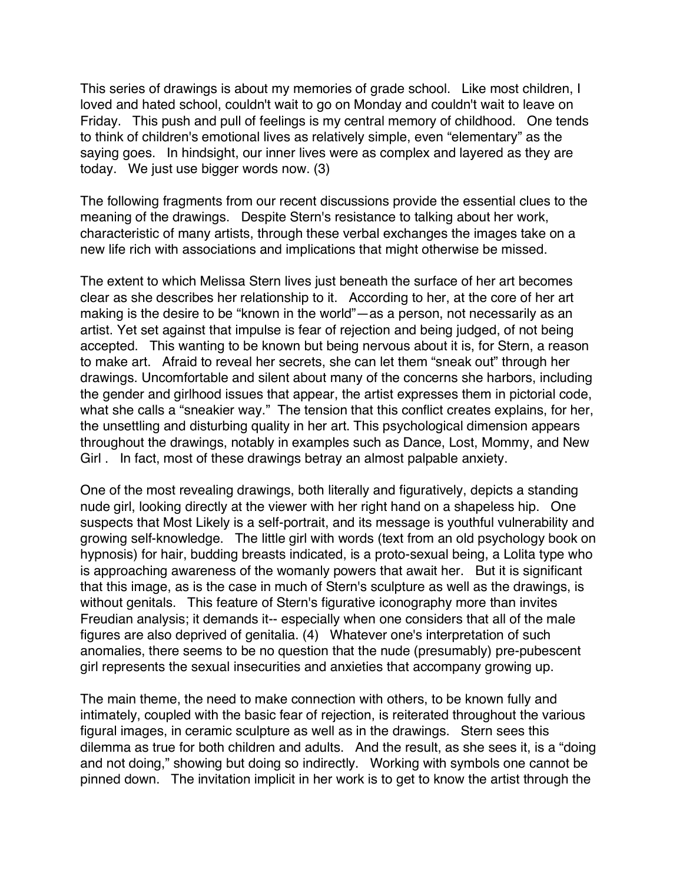This series of drawings is about my memories of grade school. Like most children, I loved and hated school, couldn't wait to go on Monday and couldn't wait to leave on Friday. This push and pull of feelings is my central memory of childhood. One tends to think of children's emotional lives as relatively simple, even "elementary" as the saying goes. In hindsight, our inner lives were as complex and layered as they are today. We just use bigger words now. (3)

The following fragments from our recent discussions provide the essential clues to the meaning of the drawings. Despite Stern's resistance to talking about her work, characteristic of many artists, through these verbal exchanges the images take on a new life rich with associations and implications that might otherwise be missed.

The extent to which Melissa Stern lives just beneath the surface of her art becomes clear as she describes her relationship to it. According to her, at the core of her art making is the desire to be "known in the world"—as a person, not necessarily as an artist. Yet set against that impulse is fear of rejection and being judged, of not being accepted. This wanting to be known but being nervous about it is, for Stern, a reason to make art. Afraid to reveal her secrets, she can let them "sneak out" through her drawings. Uncomfortable and silent about many of the concerns she harbors, including the gender and girlhood issues that appear, the artist expresses them in pictorial code, what she calls a "sneakier way." The tension that this conflict creates explains, for her, the unsettling and disturbing quality in her art. This psychological dimension appears throughout the drawings, notably in examples such as Dance, Lost, Mommy, and New Girl . In fact, most of these drawings betray an almost palpable anxiety.

One of the most revealing drawings, both literally and figuratively, depicts a standing nude girl, looking directly at the viewer with her right hand on a shapeless hip. One suspects that Most Likely is a self-portrait, and its message is youthful vulnerability and growing self-knowledge. The little girl with words (text from an old psychology book on hypnosis) for hair, budding breasts indicated, is a proto-sexual being, a Lolita type who is approaching awareness of the womanly powers that await her. But it is significant that this image, as is the case in much of Stern's sculpture as well as the drawings, is without genitals. This feature of Stern's figurative iconography more than invites Freudian analysis; it demands it-- especially when one considers that all of the male figures are also deprived of genitalia. (4) Whatever one's interpretation of such anomalies, there seems to be no question that the nude (presumably) pre-pubescent girl represents the sexual insecurities and anxieties that accompany growing up.

The main theme, the need to make connection with others, to be known fully and intimately, coupled with the basic fear of rejection, is reiterated throughout the various figural images, in ceramic sculpture as well as in the drawings. Stern sees this dilemma as true for both children and adults. And the result, as she sees it, is a "doing and not doing," showing but doing so indirectly. Working with symbols one cannot be pinned down. The invitation implicit in her work is to get to know the artist through the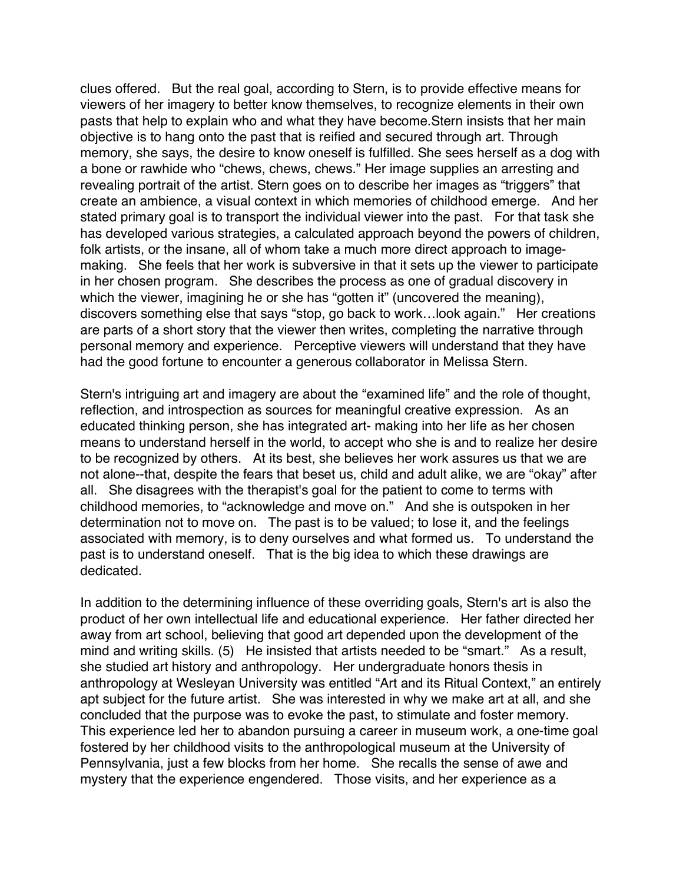clues offered. But the real goal, according to Stern, is to provide effective means for viewers of her imagery to better know themselves, to recognize elements in their own pasts that help to explain who and what they have become.Stern insists that her main objective is to hang onto the past that is reified and secured through art. Through memory, she says, the desire to know oneself is fulfilled. She sees herself as a dog with a bone or rawhide who "chews, chews, chews." Her image supplies an arresting and revealing portrait of the artist. Stern goes on to describe her images as "triggers" that create an ambience, a visual context in which memories of childhood emerge. And her stated primary goal is to transport the individual viewer into the past. For that task she has developed various strategies, a calculated approach beyond the powers of children, folk artists, or the insane, all of whom take a much more direct approach to imagemaking. She feels that her work is subversive in that it sets up the viewer to participate in her chosen program. She describes the process as one of gradual discovery in which the viewer, imagining he or she has "gotten it" (uncovered the meaning), discovers something else that says "stop, go back to work…look again." Her creations are parts of a short story that the viewer then writes, completing the narrative through personal memory and experience. Perceptive viewers will understand that they have had the good fortune to encounter a generous collaborator in Melissa Stern.

Stern's intriguing art and imagery are about the "examined life" and the role of thought, reflection, and introspection as sources for meaningful creative expression. As an educated thinking person, she has integrated art- making into her life as her chosen means to understand herself in the world, to accept who she is and to realize her desire to be recognized by others. At its best, she believes her work assures us that we are not alone--that, despite the fears that beset us, child and adult alike, we are "okay" after all. She disagrees with the therapist's goal for the patient to come to terms with childhood memories, to "acknowledge and move on." And she is outspoken in her determination not to move on. The past is to be valued; to lose it, and the feelings associated with memory, is to deny ourselves and what formed us. To understand the past is to understand oneself. That is the big idea to which these drawings are dedicated.

In addition to the determining influence of these overriding goals, Stern's art is also the product of her own intellectual life and educational experience. Her father directed her away from art school, believing that good art depended upon the development of the mind and writing skills. (5) He insisted that artists needed to be "smart." As a result, she studied art history and anthropology. Her undergraduate honors thesis in anthropology at Wesleyan University was entitled "Art and its Ritual Context," an entirely apt subject for the future artist. She was interested in why we make art at all, and she concluded that the purpose was to evoke the past, to stimulate and foster memory. This experience led her to abandon pursuing a career in museum work, a one-time goal fostered by her childhood visits to the anthropological museum at the University of Pennsylvania, just a few blocks from her home. She recalls the sense of awe and mystery that the experience engendered. Those visits, and her experience as a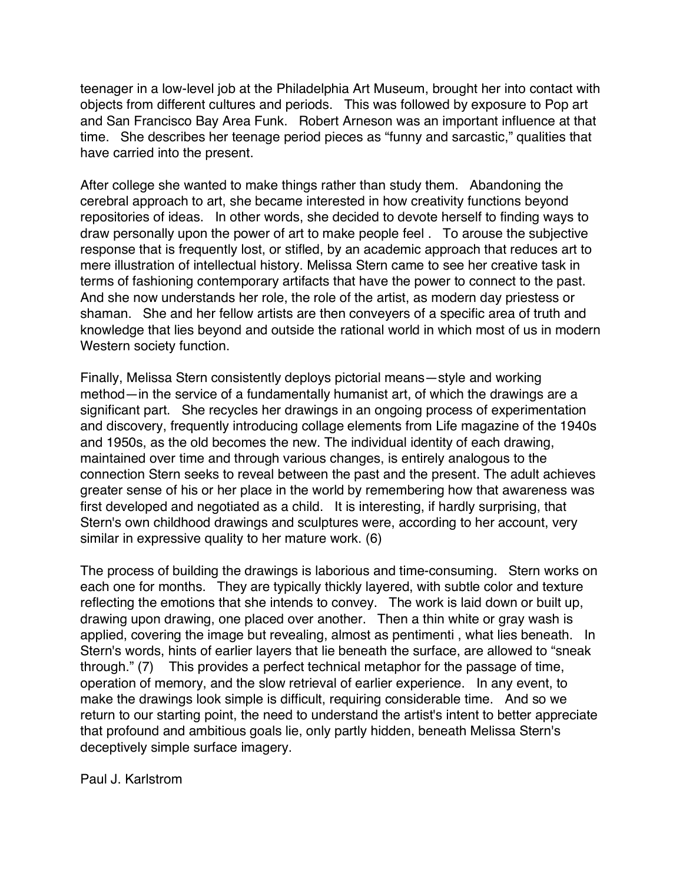teenager in a low-level job at the Philadelphia Art Museum, brought her into contact with objects from different cultures and periods. This was followed by exposure to Pop art and San Francisco Bay Area Funk. Robert Arneson was an important influence at that time. She describes her teenage period pieces as "funny and sarcastic," qualities that have carried into the present.

After college she wanted to make things rather than study them. Abandoning the cerebral approach to art, she became interested in how creativity functions beyond repositories of ideas. In other words, she decided to devote herself to finding ways to draw personally upon the power of art to make people feel . To arouse the subjective response that is frequently lost, or stifled, by an academic approach that reduces art to mere illustration of intellectual history. Melissa Stern came to see her creative task in terms of fashioning contemporary artifacts that have the power to connect to the past. And she now understands her role, the role of the artist, as modern day priestess or shaman. She and her fellow artists are then conveyers of a specific area of truth and knowledge that lies beyond and outside the rational world in which most of us in modern Western society function.

Finally, Melissa Stern consistently deploys pictorial means—style and working method—in the service of a fundamentally humanist art, of which the drawings are a significant part. She recycles her drawings in an ongoing process of experimentation and discovery, frequently introducing collage elements from Life magazine of the 1940s and 1950s, as the old becomes the new. The individual identity of each drawing, maintained over time and through various changes, is entirely analogous to the connection Stern seeks to reveal between the past and the present. The adult achieves greater sense of his or her place in the world by remembering how that awareness was first developed and negotiated as a child. It is interesting, if hardly surprising, that Stern's own childhood drawings and sculptures were, according to her account, very similar in expressive quality to her mature work. (6)

The process of building the drawings is laborious and time-consuming. Stern works on each one for months. They are typically thickly layered, with subtle color and texture reflecting the emotions that she intends to convey. The work is laid down or built up, drawing upon drawing, one placed over another. Then a thin white or gray wash is applied, covering the image but revealing, almost as pentimenti , what lies beneath. In Stern's words, hints of earlier layers that lie beneath the surface, are allowed to "sneak through." (7) This provides a perfect technical metaphor for the passage of time, operation of memory, and the slow retrieval of earlier experience. In any event, to make the drawings look simple is difficult, requiring considerable time. And so we return to our starting point, the need to understand the artist's intent to better appreciate that profound and ambitious goals lie, only partly hidden, beneath Melissa Stern's deceptively simple surface imagery.

Paul J. Karlstrom